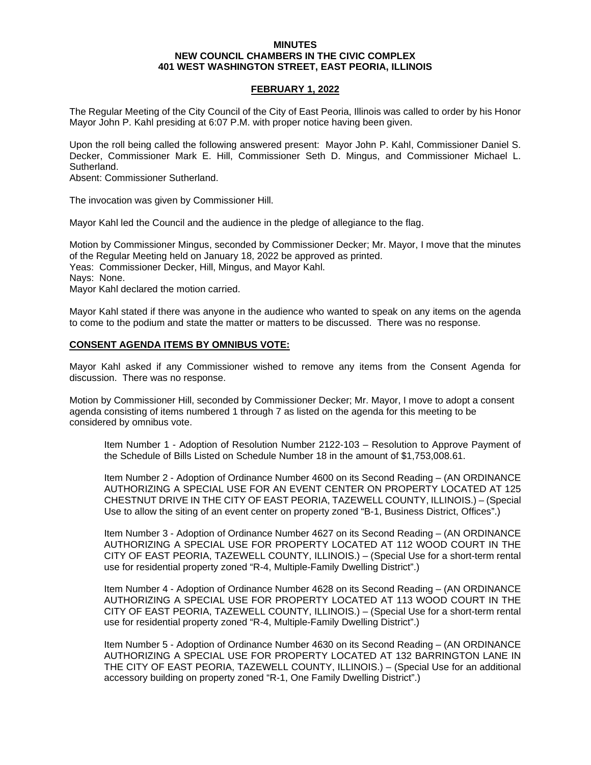## **MINUTES NEW COUNCIL CHAMBERS IN THE CIVIC COMPLEX 401 WEST WASHINGTON STREET, EAST PEORIA, ILLINOIS**

## **FEBRUARY 1, 2022**

The Regular Meeting of the City Council of the City of East Peoria, Illinois was called to order by his Honor Mayor John P. Kahl presiding at 6:07 P.M. with proper notice having been given.

Upon the roll being called the following answered present: Mayor John P. Kahl, Commissioner Daniel S. Decker, Commissioner Mark E. Hill, Commissioner Seth D. Mingus, and Commissioner Michael L. Sutherland.

Absent: Commissioner Sutherland.

The invocation was given by Commissioner Hill.

Mayor Kahl led the Council and the audience in the pledge of allegiance to the flag.

Motion by Commissioner Mingus, seconded by Commissioner Decker; Mr. Mayor, I move that the minutes of the Regular Meeting held on January 18, 2022 be approved as printed. Yeas: Commissioner Decker, Hill, Mingus, and Mayor Kahl. Nays: None. Mayor Kahl declared the motion carried.

Mayor Kahl stated if there was anyone in the audience who wanted to speak on any items on the agenda to come to the podium and state the matter or matters to be discussed. There was no response.

## **CONSENT AGENDA ITEMS BY OMNIBUS VOTE:**

Mayor Kahl asked if any Commissioner wished to remove any items from the Consent Agenda for discussion. There was no response.

Motion by Commissioner Hill, seconded by Commissioner Decker; Mr. Mayor, I move to adopt a consent agenda consisting of items numbered 1 through 7 as listed on the agenda for this meeting to be considered by omnibus vote.

Item Number 1 - Adoption of Resolution Number 2122-103 – Resolution to Approve Payment of the Schedule of Bills Listed on Schedule Number 18 in the amount of \$1,753,008.61.

Item Number 2 - Adoption of Ordinance Number 4600 on its Second Reading – (AN ORDINANCE AUTHORIZING A SPECIAL USE FOR AN EVENT CENTER ON PROPERTY LOCATED AT 125 CHESTNUT DRIVE IN THE CITY OF EAST PEORIA, TAZEWELL COUNTY, ILLINOIS.) – (Special Use to allow the siting of an event center on property zoned "B-1, Business District, Offices".)

Item Number 3 - Adoption of Ordinance Number 4627 on its Second Reading – (AN ORDINANCE AUTHORIZING A SPECIAL USE FOR PROPERTY LOCATED AT 112 WOOD COURT IN THE CITY OF EAST PEORIA, TAZEWELL COUNTY, ILLINOIS.) – (Special Use for a short-term rental use for residential property zoned "R-4, Multiple-Family Dwelling District".)

Item Number 4 - Adoption of Ordinance Number 4628 on its Second Reading – (AN ORDINANCE AUTHORIZING A SPECIAL USE FOR PROPERTY LOCATED AT 113 WOOD COURT IN THE CITY OF EAST PEORIA, TAZEWELL COUNTY, ILLINOIS.) – (Special Use for a short-term rental use for residential property zoned "R-4, Multiple-Family Dwelling District".)

Item Number 5 - Adoption of Ordinance Number 4630 on its Second Reading – (AN ORDINANCE AUTHORIZING A SPECIAL USE FOR PROPERTY LOCATED AT 132 BARRINGTON LANE IN THE CITY OF EAST PEORIA, TAZEWELL COUNTY, ILLINOIS.) – (Special Use for an additional accessory building on property zoned "R-1, One Family Dwelling District".)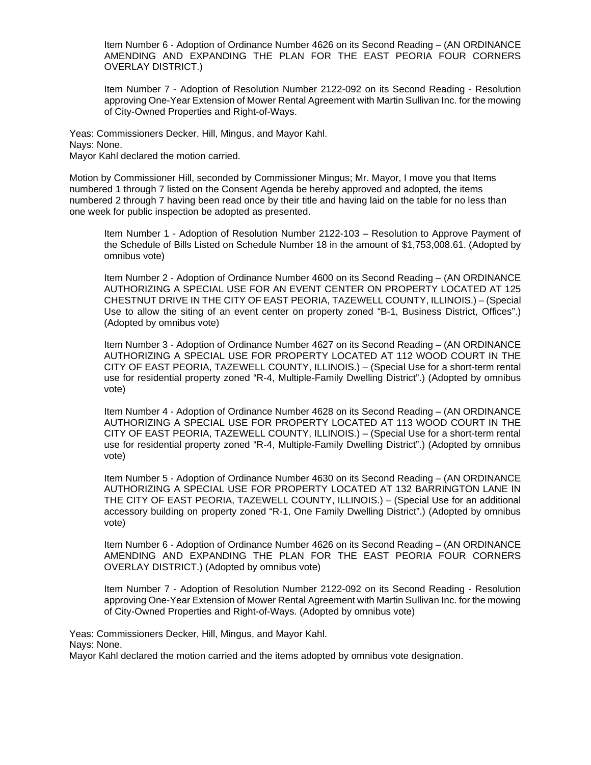Item Number 6 - Adoption of Ordinance Number 4626 on its Second Reading – (AN ORDINANCE AMENDING AND EXPANDING THE PLAN FOR THE EAST PEORIA FOUR CORNERS OVERLAY DISTRICT.)

Item Number 7 - Adoption of Resolution Number 2122-092 on its Second Reading - Resolution approving One-Year Extension of Mower Rental Agreement with Martin Sullivan Inc. for the mowing of City-Owned Properties and Right-of-Ways.

Yeas: Commissioners Decker, Hill, Mingus, and Mayor Kahl. Nays: None. Mayor Kahl declared the motion carried.

Motion by Commissioner Hill, seconded by Commissioner Mingus; Mr. Mayor, I move you that Items numbered 1 through 7 listed on the Consent Agenda be hereby approved and adopted, the items numbered 2 through 7 having been read once by their title and having laid on the table for no less than one week for public inspection be adopted as presented.

Item Number 1 - Adoption of Resolution Number 2122-103 – Resolution to Approve Payment of the Schedule of Bills Listed on Schedule Number 18 in the amount of \$1,753,008.61. (Adopted by omnibus vote)

Item Number 2 - Adoption of Ordinance Number 4600 on its Second Reading – (AN ORDINANCE AUTHORIZING A SPECIAL USE FOR AN EVENT CENTER ON PROPERTY LOCATED AT 125 CHESTNUT DRIVE IN THE CITY OF EAST PEORIA, TAZEWELL COUNTY, ILLINOIS.) – (Special Use to allow the siting of an event center on property zoned "B-1, Business District, Offices".) (Adopted by omnibus vote)

Item Number 3 - Adoption of Ordinance Number 4627 on its Second Reading – (AN ORDINANCE AUTHORIZING A SPECIAL USE FOR PROPERTY LOCATED AT 112 WOOD COURT IN THE CITY OF EAST PEORIA, TAZEWELL COUNTY, ILLINOIS.) – (Special Use for a short-term rental use for residential property zoned "R-4, Multiple-Family Dwelling District".) (Adopted by omnibus vote)

Item Number 4 - Adoption of Ordinance Number 4628 on its Second Reading – (AN ORDINANCE AUTHORIZING A SPECIAL USE FOR PROPERTY LOCATED AT 113 WOOD COURT IN THE CITY OF EAST PEORIA, TAZEWELL COUNTY, ILLINOIS.) – (Special Use for a short-term rental use for residential property zoned "R-4, Multiple-Family Dwelling District".) (Adopted by omnibus vote)

Item Number 5 - Adoption of Ordinance Number 4630 on its Second Reading – (AN ORDINANCE AUTHORIZING A SPECIAL USE FOR PROPERTY LOCATED AT 132 BARRINGTON LANE IN THE CITY OF EAST PEORIA, TAZEWELL COUNTY, ILLINOIS.) – (Special Use for an additional accessory building on property zoned "R-1, One Family Dwelling District".) (Adopted by omnibus vote)

Item Number 6 - Adoption of Ordinance Number 4626 on its Second Reading – (AN ORDINANCE AMENDING AND EXPANDING THE PLAN FOR THE EAST PEORIA FOUR CORNERS OVERLAY DISTRICT.) (Adopted by omnibus vote)

Item Number 7 - Adoption of Resolution Number 2122-092 on its Second Reading - Resolution approving One-Year Extension of Mower Rental Agreement with Martin Sullivan Inc. for the mowing of City-Owned Properties and Right-of-Ways. (Adopted by omnibus vote)

Yeas: Commissioners Decker, Hill, Mingus, and Mayor Kahl.

Nays: None.

Mayor Kahl declared the motion carried and the items adopted by omnibus vote designation.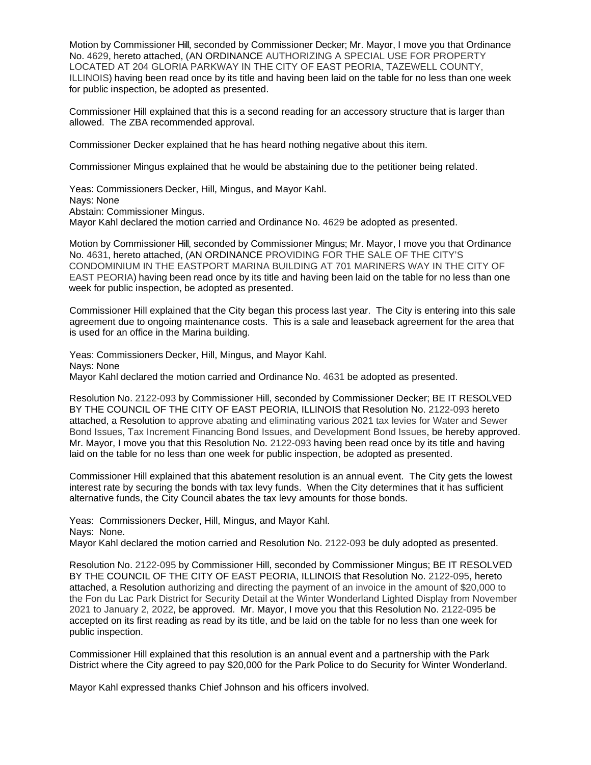Motion by Commissioner Hill, seconded by Commissioner Decker; Mr. Mayor, I move you that Ordinance No. 4629, hereto attached, (AN ORDINANCE AUTHORIZING A SPECIAL USE FOR PROPERTY LOCATED AT 204 GLORIA PARKWAY IN THE CITY OF EAST PEORIA, TAZEWELL COUNTY, ILLINOIS) having been read once by its title and having been laid on the table for no less than one week for public inspection, be adopted as presented.

Commissioner Hill explained that this is a second reading for an accessory structure that is larger than allowed. The ZBA recommended approval.

Commissioner Decker explained that he has heard nothing negative about this item.

Commissioner Mingus explained that he would be abstaining due to the petitioner being related.

Yeas: Commissioners Decker, Hill, Mingus, and Mayor Kahl. Nays: None Abstain: Commissioner Mingus. Mayor Kahl declared the motion carried and Ordinance No. 4629 be adopted as presented.

Motion by Commissioner Hill, seconded by Commissioner Mingus; Mr. Mayor, I move you that Ordinance No. 4631, hereto attached, (AN ORDINANCE PROVIDING FOR THE SALE OF THE CITY'S CONDOMINIUM IN THE EASTPORT MARINA BUILDING AT 701 MARINERS WAY IN THE CITY OF EAST PEORIA) having been read once by its title and having been laid on the table for no less than one week for public inspection, be adopted as presented.

Commissioner Hill explained that the City began this process last year. The City is entering into this sale agreement due to ongoing maintenance costs. This is a sale and leaseback agreement for the area that is used for an office in the Marina building.

Yeas: Commissioners Decker, Hill, Mingus, and Mayor Kahl. Nays: None Mayor Kahl declared the motion carried and Ordinance No. 4631 be adopted as presented.

Resolution No. 2122-093 by Commissioner Hill, seconded by Commissioner Decker; BE IT RESOLVED BY THE COUNCIL OF THE CITY OF EAST PEORIA, ILLINOIS that Resolution No. 2122-093 hereto attached, a Resolution to approve abating and eliminating various 2021 tax levies for Water and Sewer Bond Issues, Tax Increment Financing Bond Issues, and Development Bond Issues, be hereby approved. Mr. Mayor, I move you that this Resolution No. 2122-093 having been read once by its title and having laid on the table for no less than one week for public inspection, be adopted as presented.

Commissioner Hill explained that this abatement resolution is an annual event. The City gets the lowest interest rate by securing the bonds with tax levy funds. When the City determines that it has sufficient alternative funds, the City Council abates the tax levy amounts for those bonds.

Yeas: Commissioners Decker, Hill, Mingus, and Mayor Kahl. Nays: None. Mayor Kahl declared the motion carried and Resolution No. 2122-093 be duly adopted as presented.

Resolution No. 2122-095 by Commissioner Hill, seconded by Commissioner Mingus; BE IT RESOLVED BY THE COUNCIL OF THE CITY OF EAST PEORIA, ILLINOIS that Resolution No. 2122-095, hereto attached, a Resolution authorizing and directing the payment of an invoice in the amount of \$20,000 to the Fon du Lac Park District for Security Detail at the Winter Wonderland Lighted Display from November 2021 to January 2, 2022, be approved. Mr. Mayor, I move you that this Resolution No. 2122-095 be accepted on its first reading as read by its title, and be laid on the table for no less than one week for public inspection.

Commissioner Hill explained that this resolution is an annual event and a partnership with the Park District where the City agreed to pay \$20,000 for the Park Police to do Security for Winter Wonderland.

Mayor Kahl expressed thanks Chief Johnson and his officers involved.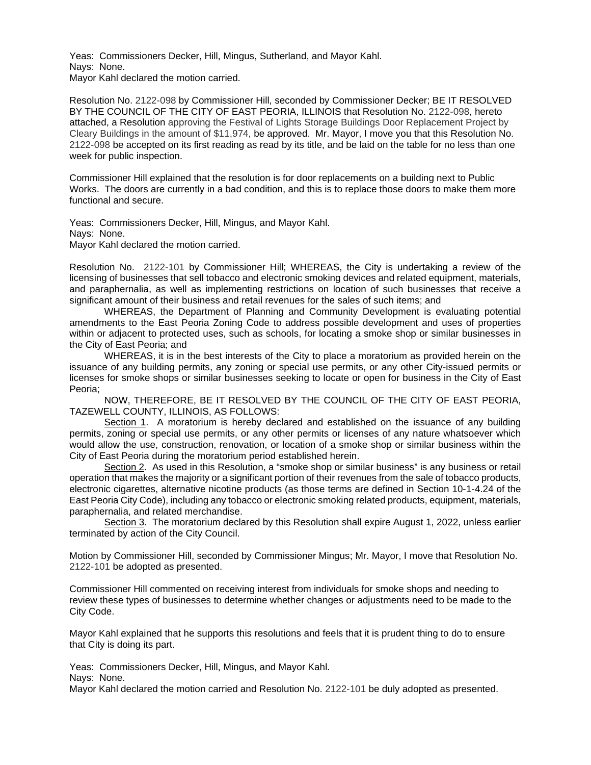Yeas: Commissioners Decker, Hill, Mingus, Sutherland, and Mayor Kahl. Nays: None. Mayor Kahl declared the motion carried.

Resolution No. 2122-098 by Commissioner Hill, seconded by Commissioner Decker; BE IT RESOLVED BY THE COUNCIL OF THE CITY OF EAST PEORIA, ILLINOIS that Resolution No. 2122-098, hereto attached, a Resolution approving the Festival of Lights Storage Buildings Door Replacement Project by Cleary Buildings in the amount of \$11,974, be approved. Mr. Mayor, I move you that this Resolution No. 2122-098 be accepted on its first reading as read by its title, and be laid on the table for no less than one week for public inspection.

Commissioner Hill explained that the resolution is for door replacements on a building next to Public Works. The doors are currently in a bad condition, and this is to replace those doors to make them more functional and secure.

Yeas: Commissioners Decker, Hill, Mingus, and Mayor Kahl. Nays: None. Mayor Kahl declared the motion carried.

Resolution No. 2122-101 by Commissioner Hill; WHEREAS, the City is undertaking a review of the licensing of businesses that sell tobacco and electronic smoking devices and related equipment, materials, and paraphernalia, as well as implementing restrictions on location of such businesses that receive a significant amount of their business and retail revenues for the sales of such items; and

WHEREAS, the Department of Planning and Community Development is evaluating potential amendments to the East Peoria Zoning Code to address possible development and uses of properties within or adjacent to protected uses, such as schools, for locating a smoke shop or similar businesses in the City of East Peoria; and

WHEREAS, it is in the best interests of the City to place a moratorium as provided herein on the issuance of any building permits, any zoning or special use permits, or any other City-issued permits or licenses for smoke shops or similar businesses seeking to locate or open for business in the City of East Peoria;

NOW, THEREFORE, BE IT RESOLVED BY THE COUNCIL OF THE CITY OF EAST PEORIA, TAZEWELL COUNTY, ILLINOIS, AS FOLLOWS:

Section 1. A moratorium is hereby declared and established on the issuance of any building permits, zoning or special use permits, or any other permits or licenses of any nature whatsoever which would allow the use, construction, renovation, or location of a smoke shop or similar business within the City of East Peoria during the moratorium period established herein.

Section 2. As used in this Resolution, a "smoke shop or similar business" is any business or retail operation that makes the majority or a significant portion of their revenues from the sale of tobacco products, electronic cigarettes, alternative nicotine products (as those terms are defined in Section 10-1-4.24 of the East Peoria City Code), including any tobacco or electronic smoking related products, equipment, materials, paraphernalia, and related merchandise.

Section 3. The moratorium declared by this Resolution shall expire August 1, 2022, unless earlier terminated by action of the City Council.

Motion by Commissioner Hill, seconded by Commissioner Mingus; Mr. Mayor, I move that Resolution No. 2122-101 be adopted as presented.

Commissioner Hill commented on receiving interest from individuals for smoke shops and needing to review these types of businesses to determine whether changes or adjustments need to be made to the City Code.

Mayor Kahl explained that he supports this resolutions and feels that it is prudent thing to do to ensure that City is doing its part.

Yeas: Commissioners Decker, Hill, Mingus, and Mayor Kahl.

Nays: None.

Mayor Kahl declared the motion carried and Resolution No. 2122-101 be duly adopted as presented.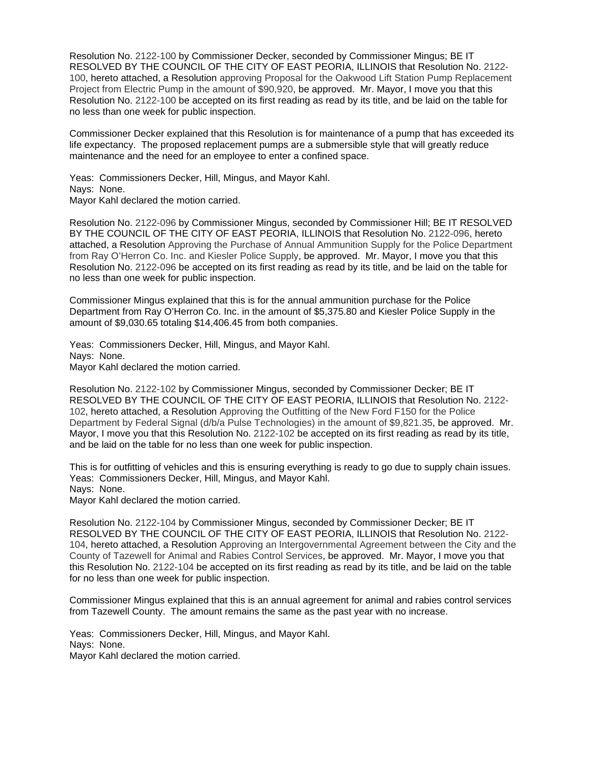Resolution No. 2122-100 by Commissioner Decker, seconded by Commissioner Mingus; BE IT RESOLVED BY THE COUNCIL OF THE CITY OF EAST PEORIA, ILLINOIS that Resolution No. 2122- 100, hereto attached, a Resolution approving Proposal for the Oakwood Lift Station Pump Replacement Project from Electric Pump in the amount of \$90,920, be approved. Mr. Mayor, I move you that this Resolution No. 2122-100 be accepted on its first reading as read by its title, and be laid on the table for no less than one week for public inspection.

Commissioner Decker explained that this Resolution is for maintenance of a pump that has exceeded its life expectancy. The proposed replacement pumps are a submersible style that will greatly reduce maintenance and the need for an employee to enter a confined space.

Yeas: Commissioners Decker, Hill, Mingus, and Mayor Kahl. Nays: None. Mayor Kahl declared the motion carried.

Resolution No. 2122-096 by Commissioner Mingus, seconded by Commissioner Hill; BE IT RESOLVED BY THE COUNCIL OF THE CITY OF EAST PEORIA, ILLINOIS that Resolution No. 2122-096, hereto attached, a Resolution Approving the Purchase of Annual Ammunition Supply for the Police Department from Ray O'Herron Co. Inc. and Kiesler Police Supply, be approved. Mr. Mayor, I move you that this Resolution No. 2122-096 be accepted on its first reading as read by its title, and be laid on the table for no less than one week for public inspection.

Commissioner Mingus explained that this is for the annual ammunition purchase for the Police Department from Ray O'Herron Co. Inc. in the amount of \$5,375.80 and Kiesler Police Supply in the amount of \$9,030.65 totaling \$14,406.45 from both companies.

Yeas: Commissioners Decker, Hill, Mingus, and Mayor Kahl. Nays: None. Mayor Kahl declared the motion carried.

Resolution No. 2122-102 by Commissioner Mingus, seconded by Commissioner Decker; BE IT RESOLVED BY THE COUNCIL OF THE CITY OF EAST PEORIA, ILLINOIS that Resolution No. 2122- 102, hereto attached, a Resolution Approving the Outfitting of the New Ford F150 for the Police Department by Federal Signal (d/b/a Pulse Technologies) in the amount of \$9,821.35, be approved. Mr. Mayor, I move you that this Resolution No. 2122-102 be accepted on its first reading as read by its title, and be laid on the table for no less than one week for public inspection.

This is for outfitting of vehicles and this is ensuring everything is ready to go due to supply chain issues. Yeas: Commissioners Decker, Hill, Mingus, and Mayor Kahl. Nays: None.

Mayor Kahl declared the motion carried.

Resolution No. 2122-104 by Commissioner Mingus, seconded by Commissioner Decker; BE IT RESOLVED BY THE COUNCIL OF THE CITY OF EAST PEORIA, ILLINOIS that Resolution No. 2122- 104, hereto attached, a Resolution Approving an Intergovernmental Agreement between the City and the County of Tazewell for Animal and Rabies Control Services, be approved. Mr. Mayor, I move you that this Resolution No. 2122-104 be accepted on its first reading as read by its title, and be laid on the table for no less than one week for public inspection.

Commissioner Mingus explained that this is an annual agreement for animal and rabies control services from Tazewell County. The amount remains the same as the past year with no increase.

Yeas: Commissioners Decker, Hill, Mingus, and Mayor Kahl. Nays: None. Mayor Kahl declared the motion carried.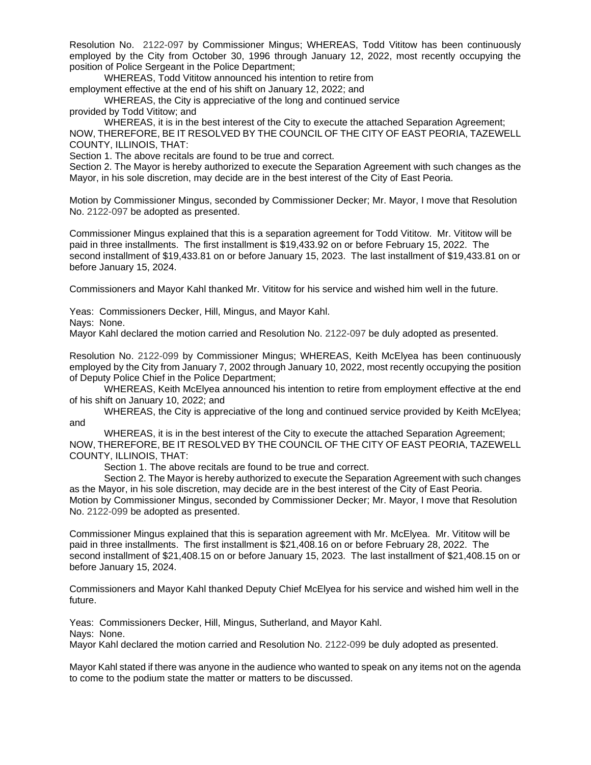Resolution No. 2122-097 by Commissioner Mingus; WHEREAS, Todd Vititow has been continuously employed by the City from October 30, 1996 through January 12, 2022, most recently occupying the position of Police Sergeant in the Police Department;

WHEREAS, Todd Vititow announced his intention to retire from

employment effective at the end of his shift on January 12, 2022; and

WHEREAS, the City is appreciative of the long and continued service

provided by Todd Vititow; and

WHEREAS, it is in the best interest of the City to execute the attached Separation Agreement; NOW, THEREFORE, BE IT RESOLVED BY THE COUNCIL OF THE CITY OF EAST PEORIA, TAZEWELL COUNTY, ILLINOIS, THAT:

Section 1. The above recitals are found to be true and correct.

Section 2. The Mayor is hereby authorized to execute the Separation Agreement with such changes as the Mayor, in his sole discretion, may decide are in the best interest of the City of East Peoria.

Motion by Commissioner Mingus, seconded by Commissioner Decker; Mr. Mayor, I move that Resolution No. 2122-097 be adopted as presented.

Commissioner Mingus explained that this is a separation agreement for Todd Vititow. Mr. Vititow will be paid in three installments. The first installment is \$19,433.92 on or before February 15, 2022. The second installment of \$19,433.81 on or before January 15, 2023. The last installment of \$19,433.81 on or before January 15, 2024.

Commissioners and Mayor Kahl thanked Mr. Vititow for his service and wished him well in the future.

Yeas: Commissioners Decker, Hill, Mingus, and Mayor Kahl.

Nays: None.

Mayor Kahl declared the motion carried and Resolution No. 2122-097 be duly adopted as presented.

Resolution No. 2122-099 by Commissioner Mingus; WHEREAS, Keith McElyea has been continuously employed by the City from January 7, 2002 through January 10, 2022, most recently occupying the position of Deputy Police Chief in the Police Department;

WHEREAS, Keith McElyea announced his intention to retire from employment effective at the end of his shift on January 10, 2022; and

WHEREAS, the City is appreciative of the long and continued service provided by Keith McElyea; and

WHEREAS, it is in the best interest of the City to execute the attached Separation Agreement; NOW, THEREFORE, BE IT RESOLVED BY THE COUNCIL OF THE CITY OF EAST PEORIA, TAZEWELL COUNTY, ILLINOIS, THAT:

Section 1. The above recitals are found to be true and correct.

Section 2. The Mayor is hereby authorized to execute the Separation Agreement with such changes as the Mayor, in his sole discretion, may decide are in the best interest of the City of East Peoria. Motion by Commissioner Mingus, seconded by Commissioner Decker; Mr. Mayor, I move that Resolution No. 2122-099 be adopted as presented.

Commissioner Mingus explained that this is separation agreement with Mr. McElyea. Mr. Vititow will be paid in three installments. The first installment is \$21,408.16 on or before February 28, 2022. The second installment of \$21,408.15 on or before January 15, 2023. The last installment of \$21,408.15 on or before January 15, 2024.

Commissioners and Mayor Kahl thanked Deputy Chief McElyea for his service and wished him well in the future.

Yeas: Commissioners Decker, Hill, Mingus, Sutherland, and Mayor Kahl. Nays: None.

Mayor Kahl declared the motion carried and Resolution No. 2122-099 be duly adopted as presented.

Mayor Kahl stated if there was anyone in the audience who wanted to speak on any items not on the agenda to come to the podium state the matter or matters to be discussed.